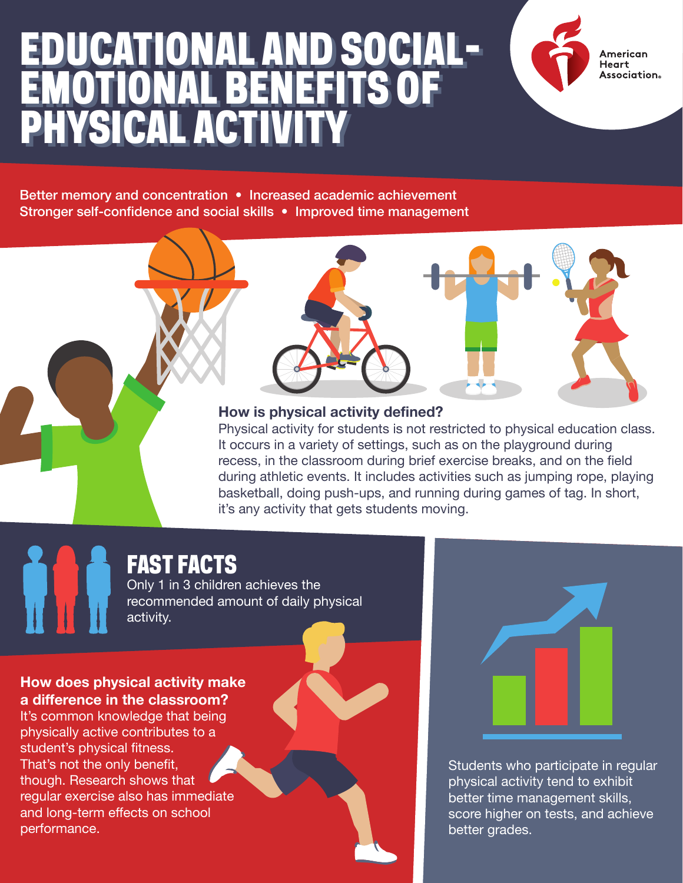### EDUCATIONAL AND SOCIAL-EMOTIONAL BENEFITS OF PHYSICAL ACTIVITY EDUCATIONAL AND SOCIAL-EMOTIONAL BENEFITS OF PHYSICAL ACTIVITY

American **Heart** . . . . . .<br>Association。

Better memory and concentration • Increased academic achievement Stronger self-confidence and social skills • Improved time management

### **How is physical activity defined?**

Physical activity for students is not restricted to physical education class. It occurs in a variety of settings, such as on the playground during recess, in the classroom during brief exercise breaks, and on the field during athletic events. It includes activities such as jumping rope, playing basketball, doing push-ups, and running during games of tag. In short, it's any activity that gets students moving.

## FAST FACTS

Only 1 in 3 children achieves the recommended amount of daily physical activity.

#### **How does physical activity make a difference in the classroom?**

It's common knowledge that being physically active contributes to a student's physical fitness. That's not the only benefit, though. Research shows that regular exercise also has immediate and long-term effects on school performance.



Students who participate in regular physical activity tend to exhibit better time management skills, score higher on tests, and achieve better grades.